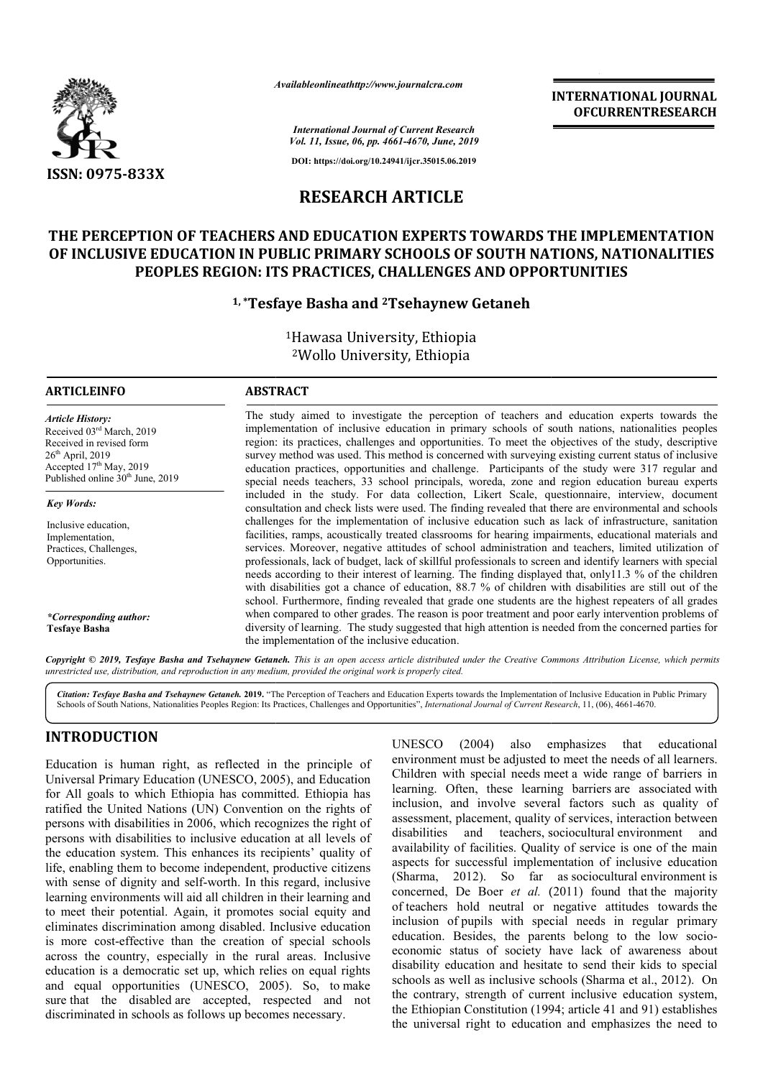

*Availableonlineathttp://www.journal Availableonlineathttp://www.journalcra.com*

*International Journal of Current Research Vol. 11, Issue, 06, pp. 4661-4670, June, 2019*

**DOI: https://doi.org/10.24941/ijcr.35015.06.2019**

# **RESEARCH ARTICLE**

# **THE PERCEPTION OF TEACHERS AND EDUCATION EXPERTS TOWARDS THE IMPLEMENTATION**  OF INCLUSIVE EDUCATION IN PUBLIC PRIMARY SCHOOLS OF SOUTH NATIONS, NATIONALITIES **PEOPLES REGION: ITS PRACTICES, CHALLENGES AND OPPORTUNITIES**

## **1, \*Tesfaye Basha and Tesfaye 2Tsehaynew Getaneh**

1Hawasa University, Ethiopia 2Wollo University, Ethiopia

### **ARTICLEINFO ABSTRACT**

*Article History:* Received 03rd March, 2019 Received in revised form  $26<sup>th</sup>$  April, 2019 Accepted 17<sup>th</sup> May, 2019 Published online  $30<sup>th</sup>$  June, 2019

*Key Words:*

Inclusive education, Implementation, Practices, Challenges, Opportunities.

*\*Corresponding author:* **Tesfaye Basha**

#### The study aimed to investigate the perception of teachers and education experts towards the implementation of inclusive education in primary schools of south nations, nationalities peoples region: its practices, challenges and opportunities. To meet the objectives of the study, descriptive survey method was used. This method is concerned with surveying existing current status of inclusive education practices, opportunities and challenge. Participants of the study were 317 regular and special needs teachers, 33 school principals, woreda, zone and region education bureau experts included in the study. For data collection, Likert Scale, questionnaire, interview, document consultation and check lists were used. The finding revealed that there are challenges for the implementation of inclusive education such as lack of infrastructure, sanitation facilities, ramps, acoustically treated classrooms for hearing impairments, educational materials and services. Moreover, negative attitudes of school administration and teachers, limited utilization of professionals, lack of budget, lack of skillful professionals to screen and identify learners with special needs according to their interest of learning. The finding displayed that, only11.3 % of the children with disabilities got a chance of education,  $88.7 \%$  of children with disabilities are still out of the school. Furthermore, finding revealed that grade one students are the highest repeaters of all grades when compared to other grades. The reason is poor treatment and poor early intervention problems of diversity of learning. The study suggested that high attention is needed from the concerned parties for the implementation of the inclusive education. implementation of inclusive education in primary schools of south nations, nationalities peoples region: its practices, challenges and opportunities. To meet the objectives of the study, descriptive survey method was used. challenges for the implementation of inclusive education such as lack of infrastructure, sanitation facilities, ramps, acoustically treated classrooms for hearing impairments, educational materials and services. Moreover,

Copyright © 2019, Tesfaye Basha and Tsehaynew Getaneh. This is an open access article distributed under the Creative Commons Attribution License, which permits *unrestricted use, distribution, and reproduction in any medium, provided the original work is properly cited.*

Citation: Tesfaye Basha and Tsehaynew Getaneh. 2019. "The Perception of Teachers and Education Experts towards the Implementation of Inclusive Education in Public Primary<br>Schools of South Nations, Nationalities Peoples Reg Schools of South Nations, Nationalities Peoples Region: Its Practices, Challenges and Opportunities", *International Journal of Current Research*

# **INTRODUCTION**

Education is human right, as reflected in the principle of Universal Primary Education (UNESCO, 2005), and Education for All goals to which Ethiopia has committed. Ethiopia has ratified the United Nations (UN) Convention on the rights of persons with disabilities in 2006, which recognizes the right of persons with disabilities to inclusive education at all levels of the education system. This enhances its recipients' quality of life, enabling them to become independent, productive citizens with sense of dignity and self-worth. In this regard, inclusive learning environments will aid all children in their learning and to meet their potential. Again, it promotes social equity and eliminates discrimination among disabled. Inclusive education is more cost-effective than the creation of special schools across the country, especially in the rural areas. Inclusive education is a democratic set up, which relies on equal rights and equal opportunities (UNESCO, 2005). So, to make sure that the disabled are accepted, respected and not discriminated in schools as follows up becomes necessary. ling them to become indepen<br>le of dignity and self-worth.<br>environments will aid all child<br>heir potential. Again, it pro<br>s discrimination among disab<br>cost-effective than the crea

UNESCO (2004) also emphasizes that educational UNESCO (2004) also emphasizes that educational environment must be adjusted to meet the needs of all learners. Children with special needs meet a wide range of barriers in learning. Often, these learning barriers barriers are associated with inclusion, and involve several factors such as quality of inclusion, and involve several factors such as quality of assessment, placement, quality of services, interaction between disabilities and teachers, sociocultural environment and availability of facilities. Quality of service is one of the main aspects for successful implementation of inclusive education availability of facilities. Quality of service is one of the main aspects for successful implementation of inclusive education (Sharma, 2012). So far as sociocultural environment is concerned, De Boer *et al.* (2011) found that the majority of teachers hold neutral or negative attitudes towards the inclusion of pupils with special needs in regular primary education. Besides, the parents belong to the low socioeconomic status of society have lack of awareness about disability education and hesitate to send their kids to special disability education and hesitate to send their kids to special schools as well as inclusive schools (Sharma et al., 2012). On the contrary, strength of current inclusive education system, the contrary, strength of current inclusive education system, the Ethiopian Constitution (1994; article 41 and 91) establishes the universal right to education and emphasizes the need to **TERNATIONAL JOURNAL COVERIME CONTRATION**<br> **CERNATIONAL SECUREMENTATION**<br> **CERNATIONALITIES**<br> **COVERIGNMENTATION**<br> **COVERIGNMENTATION**<br> **CONTRIFIES**<br> **CONTRIFIES**<br> **CONTRIFIES**<br> **CONTRIFIES**<br> **CONTRIFIES**<br> **CONTRIFIES**<br>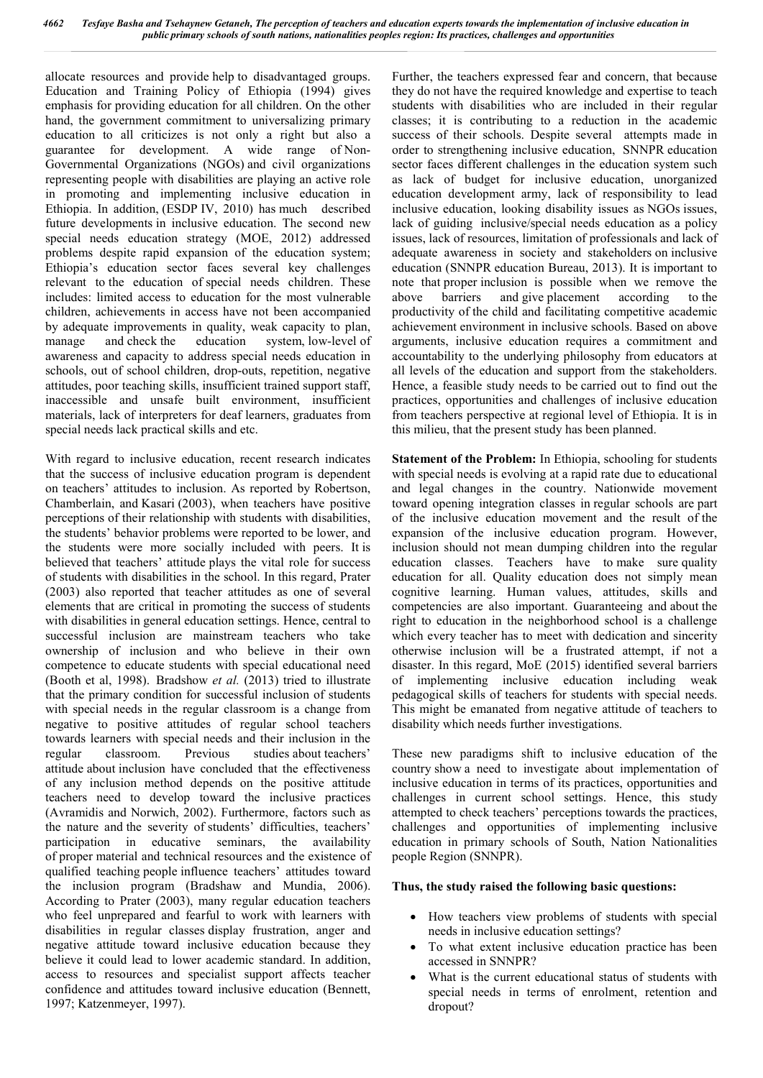allocate resources and provide help to disadvantaged groups. Education and Training Policy of Ethiopia (1994) gives emphasis for providing education for all children. On the other hand, the government commitment to universalizing primary education to all criticizes is not only a right but also a guarantee for development. A wide range of Non-Governmental Organizations (NGOs) and civil organizations representing people with disabilities are playing an active role in promoting and implementing inclusive education in Ethiopia. In addition, (ESDP IV, 2010) has much described future developments in inclusive education. The second new special needs education strategy (MOE, 2012) addressed problems despite rapid expansion of the education system; Ethiopia's education sector faces several key challenges relevant to the education of special needs children. These includes: limited access to education for the most vulnerable children, achievements in access have not been accompanied by adequate improvements in quality, weak capacity to plan, manage and check the education system, low-level of awareness and capacity to address special needs education in schools, out of school children, drop-outs, repetition, negative attitudes, poor teaching skills, insufficient trained support staff, inaccessible and unsafe built environment, insufficient materials, lack of interpreters for deaf learners, graduates from special needs lack practical skills and etc.

With regard to inclusive education, recent research indicates that the success of inclusive education program is dependent on teachers' attitudes to inclusion. As reported by Robertson, Chamberlain, and Kasari (2003), when teachers have positive perceptions of their relationship with students with disabilities, the students' behavior problems were reported to be lower, and the students were more socially included with peers. It is believed that teachers' attitude plays the vital role for success of students with disabilities in the school. In this regard, Prater (2003) also reported that teacher attitudes as one of several elements that are critical in promoting the success of students with disabilities in general education settings. Hence, central to successful inclusion are mainstream teachers who take ownership of inclusion and who believe in their own competence to educate students with special educational need (Booth et al, 1998). Bradshow *et al.* (2013) tried to illustrate that the primary condition for successful inclusion of students with special needs in the regular classroom is a change from negative to positive attitudes of regular school teachers towards learners with special needs and their inclusion in the regular classroom. Previous studies about teachers' attitude about inclusion have concluded that the effectiveness of any inclusion method depends on the positive attitude teachers need to develop toward the inclusive practices (Avramidis and Norwich, 2002). Furthermore, factors such as the nature and the severity of students' difficulties, teachers' participation in educative seminars, the availability of proper material and technical resources and the existence of qualified teaching people influence teachers' attitudes toward the inclusion program (Bradshaw and Mundia, 2006). According to Prater (2003), many regular education teachers who feel unprepared and fearful to work with learners with disabilities in regular classes display frustration, anger and negative attitude toward inclusive education because they believe it could lead to lower academic standard. In addition, access to resources and specialist support affects teacher confidence and attitudes toward inclusive education (Bennett, 1997; Katzenmeyer, 1997).

Further, the teachers expressed fear and concern, that because they do not have the required knowledge and expertise to teach students with disabilities who are included in their regular classes; it is contributing to a reduction in the academic success of their schools. Despite several attempts made in order to strengthening inclusive education, SNNPR education sector faces different challenges in the education system such as lack of budget for inclusive education, unorganized education development army, lack of responsibility to lead inclusive education, looking disability issues as NGOs issues, lack of guiding inclusive/special needs education as a policy issues, lack of resources, limitation of professionals and lack of adequate awareness in society and stakeholders on inclusive education (SNNPR education Bureau, 2013). It is important to note that proper inclusion is possible when we remove the above barriers and give placement according to the productivity of the child and facilitating competitive academic achievement environment in inclusive schools. Based on above arguments, inclusive education requires a commitment and accountability to the underlying philosophy from educators at all levels of the education and support from the stakeholders. Hence, a feasible study needs to be carried out to find out the practices, opportunities and challenges of inclusive education from teachers perspective at regional level of Ethiopia. It is in this milieu, that the present study has been planned.

**Statement of the Problem:** In Ethiopia, schooling for students with special needs is evolving at a rapid rate due to educational and legal changes in the country. Nationwide movement toward opening integration classes in regular schools are part of the inclusive education movement and the result of the expansion of the inclusive education program. However, inclusion should not mean dumping children into the regular education classes. Teachers have to make sure quality education for all. Quality education does not simply mean cognitive learning. Human values, attitudes, skills and competencies are also important. Guaranteeing and about the right to education in the neighborhood school is a challenge which every teacher has to meet with dedication and sincerity otherwise inclusion will be a frustrated attempt, if not a disaster. In this regard, MoE (2015) identified several barriers of implementing inclusive education including weak pedagogical skills of teachers for students with special needs. This might be emanated from negative attitude of teachers to disability which needs further investigations.

These new paradigms shift to inclusive education of the country show a need to investigate about implementation of inclusive education in terms of its practices, opportunities and challenges in current school settings. Hence, this study attempted to check teachers' perceptions towards the practices, challenges and opportunities of implementing inclusive education in primary schools of South, Nation Nationalities people Region (SNNPR).

### **Thus, the study raised the following basic questions:**

- How teachers view problems of students with special needs in inclusive education settings?
- To what extent inclusive education practice has been accessed in SNNPR?
- What is the current educational status of students with special needs in terms of enrolment, retention and dropout?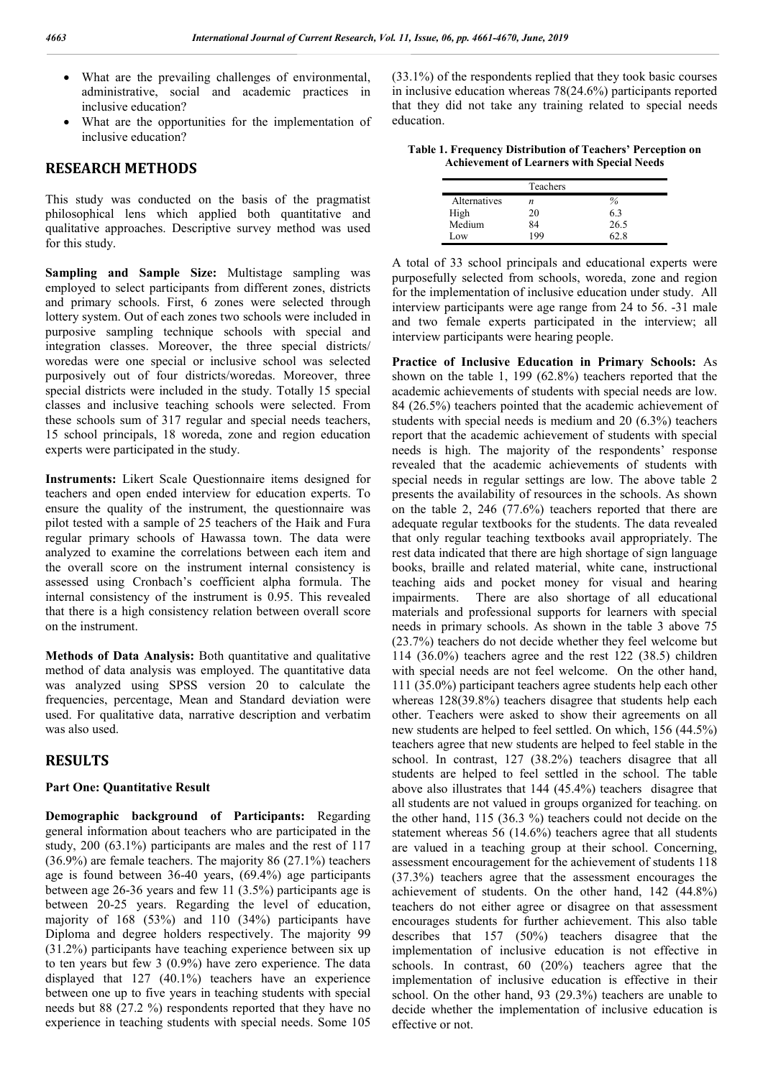- What are the prevailing challenges of environmental, administrative, social and academic practices in inclusive education?
- What are the opportunities for the implementation of inclusive education?

## **RESEARCH METHODS**

This study was conducted on the basis of the pragmatist philosophical lens which applied both quantitative and qualitative approaches. Descriptive survey method was used for this study.

**Sampling and Sample Size:** Multistage sampling was employed to select participants from different zones, districts and primary schools. First, 6 zones were selected through lottery system. Out of each zones two schools were included in purposive sampling technique schools with special and integration classes. Moreover, the three special districts/ woredas were one special or inclusive school was selected purposively out of four districts/woredas. Moreover, three special districts were included in the study. Totally 15 special classes and inclusive teaching schools were selected. From these schools sum of 317 regular and special needs teachers, 15 school principals, 18 woreda, zone and region education experts were participated in the study.

**Instruments:** Likert Scale Questionnaire items designed for teachers and open ended interview for education experts. To ensure the quality of the instrument, the questionnaire was pilot tested with a sample of 25 teachers of the Haik and Fura regular primary schools of Hawassa town. The data were analyzed to examine the correlations between each item and the overall score on the instrument internal consistency is assessed using Cronbach's coefficient alpha formula. The internal consistency of the instrument is 0.95. This revealed that there is a high consistency relation between overall score on the instrument.

**Methods of Data Analysis:** Both quantitative and qualitative method of data analysis was employed. The quantitative data was analyzed using SPSS version 20 to calculate the frequencies, percentage, Mean and Standard deviation were used. For qualitative data, narrative description and verbatim was also used.

## **RESULTS**

### **Part One: Quantitative Result**

**Demographic background of Participants:** Regarding general information about teachers who are participated in the study, 200 (63.1%) participants are males and the rest of 117 (36.9%) are female teachers. The majority 86 (27.1%) teachers age is found between 36-40 years, (69.4%) age participants between age 26-36 years and few 11 (3.5%) participants age is between 20-25 years. Regarding the level of education, majority of 168 (53%) and 110 (34%) participants have Diploma and degree holders respectively. The majority 99 (31.2%) participants have teaching experience between six up to ten years but few 3 (0.9%) have zero experience. The data displayed that 127 (40.1%) teachers have an experience between one up to five years in teaching students with special needs but 88 (27.2 %) respondents reported that they have no experience in teaching students with special needs. Some 105

(33.1%) of the respondents replied that they took basic courses in inclusive education whereas 78(24.6%) participants reported that they did not take any training related to special needs education.

**Table 1. Frequency Distribution of Teachers' Perception on Achievement of Learners with Special Needs**

|              | Teachers |      |
|--------------|----------|------|
| Alternatives |          | $\%$ |
| High         | 20       | 63   |
| Medium       | 84       | 26.5 |
| Low          | 1 Q Q    |      |

A total of 33 school principals and educational experts were purposefully selected from schools, woreda, zone and region for the implementation of inclusive education under study. All interview participants were age range from 24 to 56. -31 male and two female experts participated in the interview; all interview participants were hearing people.

**Practice of Inclusive Education in Primary Schools:** As shown on the table 1, 199 (62.8%) teachers reported that the academic achievements of students with special needs are low. 84 (26.5%) teachers pointed that the academic achievement of students with special needs is medium and 20 (6.3%) teachers report that the academic achievement of students with special needs is high. The majority of the respondents' response revealed that the academic achievements of students with special needs in regular settings are low. The above table 2 presents the availability of resources in the schools. As shown on the table 2, 246 (77.6%) teachers reported that there are adequate regular textbooks for the students. The data revealed that only regular teaching textbooks avail appropriately. The rest data indicated that there are high shortage of sign language books, braille and related material, white cane, instructional teaching aids and pocket money for visual and hearing impairments. There are also shortage of all educational materials and professional supports for learners with special needs in primary schools. As shown in the table 3 above 75 (23.7%) teachers do not decide whether they feel welcome but 114 (36.0%) teachers agree and the rest 122 (38.5) children with special needs are not feel welcome. On the other hand, 111 (35.0%) participant teachers agree students help each other whereas 128(39.8%) teachers disagree that students help each other. Teachers were asked to show their agreements on all new students are helped to feel settled. On which, 156 (44.5%) teachers agree that new students are helped to feel stable in the school. In contrast, 127 (38.2%) teachers disagree that all students are helped to feel settled in the school. The table above also illustrates that 144 (45.4%) teachers disagree that all students are not valued in groups organized for teaching. on the other hand, 115 (36.3 %) teachers could not decide on the statement whereas 56 (14.6%) teachers agree that all students are valued in a teaching group at their school. Concerning, assessment encouragement for the achievement of students 118 (37.3%) teachers agree that the assessment encourages the achievement of students. On the other hand, 142 (44.8%) teachers do not either agree or disagree on that assessment encourages students for further achievement. This also table describes that 157 (50%) teachers disagree that the implementation of inclusive education is not effective in schools. In contrast, 60 (20%) teachers agree that the implementation of inclusive education is effective in their school. On the other hand, 93 (29.3%) teachers are unable to decide whether the implementation of inclusive education is effective or not.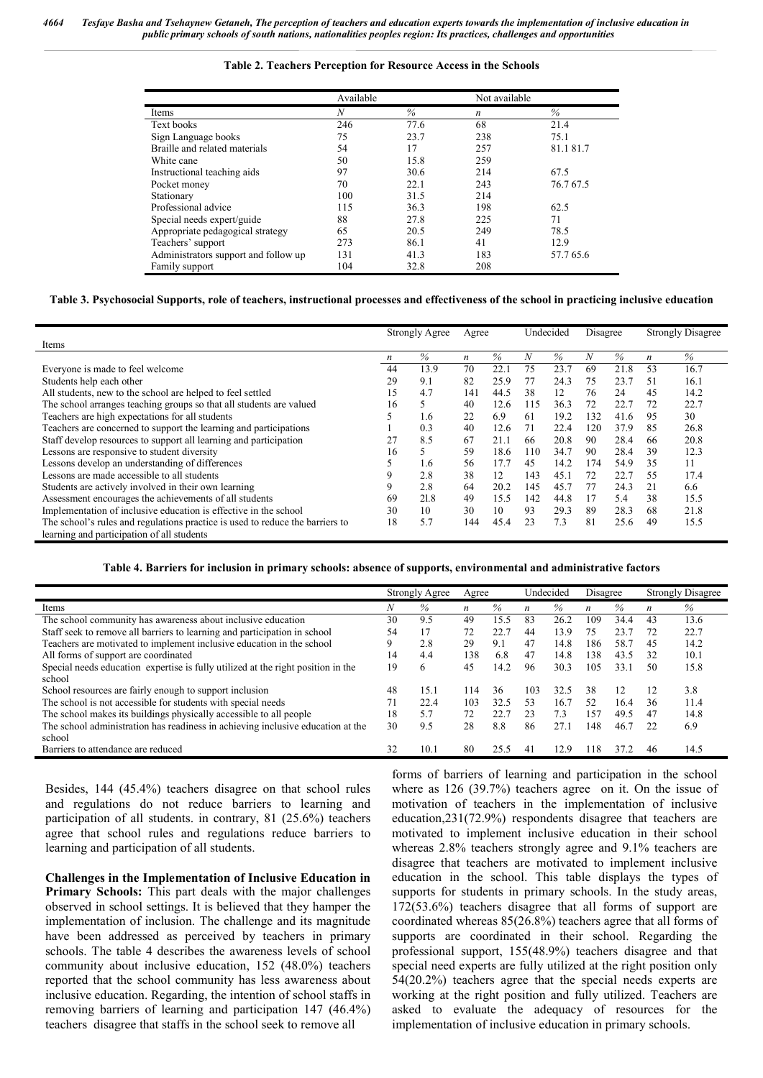#### **Table 2. Teachers Perception for Resource Access in the Schools**

|                                      | Available |      | Not available    |          |
|--------------------------------------|-----------|------|------------------|----------|
| Items                                | N         | $\%$ | $\boldsymbol{n}$ | $\%$     |
| Text books                           | 246       | 77.6 | 68               | 21.4     |
| Sign Language books                  | 75        | 23.7 | 238              | 75.1     |
| Braille and related materials        | 54        | 17   | 257              | 81.181.7 |
| White cane                           | 50        | 15.8 | 259              |          |
| Instructional teaching aids          | 97        | 30.6 | 214              | 67.5     |
| Pocket money                         | 70        | 22.1 | 243              | 76.767.5 |
| Stationary                           | 100       | 31.5 | 214              |          |
| Professional advice                  | 115       | 36.3 | 198              | 62.5     |
| Special needs expert/guide           | 88        | 27.8 | 225              | 71       |
| Appropriate pedagogical strategy     | 65        | 20.5 | 249              | 78.5     |
| Teachers' support                    | 273       | 86.1 | 41               | 12.9     |
| Administrators support and follow up | 131       | 41.3 | 183              | 57.765.6 |
| Family support                       | 104       | 32.8 | 208              |          |

#### **Table 3. Psychosocial Supports, role of teachers, instructional processes and effectiveness of the school in practicing inclusive education**

|                                                                               | <b>Strongly Agree</b> |      |                  | Undecided<br>Agree |     |      | Disagree |      | <b>Strongly Disagree</b> |      |
|-------------------------------------------------------------------------------|-----------------------|------|------------------|--------------------|-----|------|----------|------|--------------------------|------|
| Items                                                                         |                       |      |                  |                    |     |      |          |      |                          |      |
|                                                                               | $\boldsymbol{n}$      | %    | $\boldsymbol{n}$ | $\%$               | N   | $\%$ | N        | $\%$ | n                        | $\%$ |
| Everyone is made to feel welcome                                              | 44                    | 13.9 | 70               | 22.1               | 75  | 23.7 | 69       | 21.8 | 53                       | 16.7 |
| Students help each other                                                      | 29                    | 9.1  | 82               | 25.9               | 77  | 24.3 | 75       | 23.7 | -51                      | 16.1 |
| All students, new to the school are helped to feel settled                    | 15                    | 4.7  | 141              | 44.5               | 38  | 12   | 76       | 24   | 45                       | 14.2 |
| The school arranges teaching groups so that all students are valued           | 16                    | 5.   | 40               | 12.6               | 115 | 36.3 | 72       | 22.7 | 72                       | 22.7 |
| Teachers are high expectations for all students                               |                       | 1.6  | 22               | 6.9                | 61  | 19.2 | 132      | 41.6 | 95                       | 30   |
| Teachers are concerned to support the learning and participations             |                       | 0.3  | 40               | 12.6               | 71  | 22.4 | 120      | 37.9 | 85                       | 26.8 |
| Staff develop resources to support all learning and participation             | 27                    | 8.5  | 67               | 21.1               | 66  | 20.8 | 90       | 28.4 | 66                       | 20.8 |
| Lessons are responsive to student diversity                                   | 16                    | 5.   | 59               | 18.6               | 110 | 34.7 | 90       | 28.4 | 39                       | 12.3 |
| Lessons develop an understanding of differences                               |                       | 1.6  | 56               | 17.7               | 45  | 14.2 | 174      | 54.9 | 35                       | 11   |
| Lessons are made accessible to all students                                   | 9                     | 2.8  | 38               | 12                 | 143 | 45.1 | 72       | 22.7 | 55                       | 17.4 |
| Students are actively involved in their own learning                          | 9                     | 2.8  | 64               | 20.2               | 145 | 45.7 | 77       | 24.3 | 21                       | 6.6  |
| Assessment encourages the achievements of all students                        | 69                    | 21.8 | 49               | 15.5               | 142 | 44.8 | 17       | 5.4  | 38                       | 15.5 |
| Implementation of inclusive education is effective in the school              | 30                    | 10   | 30               | 10                 | 93  | 29.3 | 89       | 28.3 | 68                       | 21.8 |
| The school's rules and regulations practice is used to reduce the barriers to | 18                    | 5.7  | 144              | 45.4               | 23  | 7.3  | 81       | 25.6 | 49                       | 15.5 |
| learning and participation of all students                                    |                       |      |                  |                    |     |      |          |      |                          |      |

#### **Table 4. Barriers for inclusion in primary schools: absence of supports, environmental and administrative factors**

|                                                                                  | Strongly Agree |      | Agree |      | Undecided |      | Disagree |      | <b>Strongly Disagree</b> |      |
|----------------------------------------------------------------------------------|----------------|------|-------|------|-----------|------|----------|------|--------------------------|------|
| Items                                                                            |                | $\%$ | n     | $\%$ | n         | %    | n        | $\%$ | $\boldsymbol{n}$         | $\%$ |
| The school community has awareness about inclusive education                     | 30             | 9.5  | 49    | 15.5 | 83        | 26.2 | 109      | 34.4 | 43                       | 13.6 |
| Staff seek to remove all barriers to learning and participation in school        | 54             | 17   | 72    | 22.  | 44        | 13.9 | 75       | 23.7 | 72                       | 22.7 |
| Teachers are motivated to implement inclusive education in the school            | 9              | 2.8  | 29    | 9.1  | 47        | 14.8 | 186      | 58.7 | 45                       | 14.2 |
| All forms of support are coordinated                                             | 14             | 4.4  | 138   | 6.8  | 47        | 14.8 | 138      | 43.5 | 32                       | 10.1 |
| Special needs education expertise is fully utilized at the right position in the | 19             | 6    | 45    | 14.2 | 96        | 30.3 | 105      | 33.1 | 50                       | 15.8 |
| school                                                                           |                |      |       |      |           |      |          |      |                          |      |
| School resources are fairly enough to support inclusion                          | 48             | 15.1 | ī 14  | 36   | 103       | 32.5 | 38       | 12   | 12                       | 3.8  |
| The school is not accessible for students with special needs                     | 71             | 22.4 | 103   | 32.5 | 53        | 16.7 | 52       | 16.4 | 36                       | 11.4 |
| The school makes its buildings physically accessible to all people               | 18             | 5.7  | 72    | 22.  | 23        | 7.3  | 157      | 49.5 | 47                       | 14.8 |
| The school administration has readiness in achieving inclusive education at the  | 30             | 9.5  | 28    | 8.8  | 86        | 27   | 148      | 46.7 | 22                       | 6.9  |
| school                                                                           |                |      |       |      |           |      |          |      |                          |      |
| Barriers to attendance are reduced                                               | 32             | 10.1 | 80    | 25.5 | 41        | 12.9 | 118      | 37   | 46                       | 14.5 |

Besides, 144 (45.4%) teachers disagree on that school rules and regulations do not reduce barriers to learning and participation of all students. in contrary, 81 (25.6%) teachers agree that school rules and regulations reduce barriers to learning and participation of all students.

**Challenges in the Implementation of Inclusive Education in Primary Schools:** This part deals with the major challenges observed in school settings. It is believed that they hamper the implementation of inclusion. The challenge and its magnitude have been addressed as perceived by teachers in primary schools. The table 4 describes the awareness levels of school community about inclusive education, 152 (48.0%) teachers reported that the school community has less awareness about inclusive education. Regarding, the intention of school staffs in removing barriers of learning and participation 147 (46.4%) teachers disagree that staffs in the school seek to remove all

forms of barriers of learning and participation in the school where as 126 (39.7%) teachers agree on it. On the issue of motivation of teachers in the implementation of inclusive education,231(72.9%) respondents disagree that teachers are motivated to implement inclusive education in their school whereas 2.8% teachers strongly agree and 9.1% teachers are disagree that teachers are motivated to implement inclusive education in the school. This table displays the types of supports for students in primary schools. In the study areas, 172(53.6%) teachers disagree that all forms of support are coordinated whereas 85(26.8%) teachers agree that all forms of supports are coordinated in their school. Regarding the professional support, 155(48.9%) teachers disagree and that special need experts are fully utilized at the right position only 54(20.2%) teachers agree that the special needs experts are working at the right position and fully utilized. Teachers are asked to evaluate the adequacy of resources for the implementation of inclusive education in primary schools.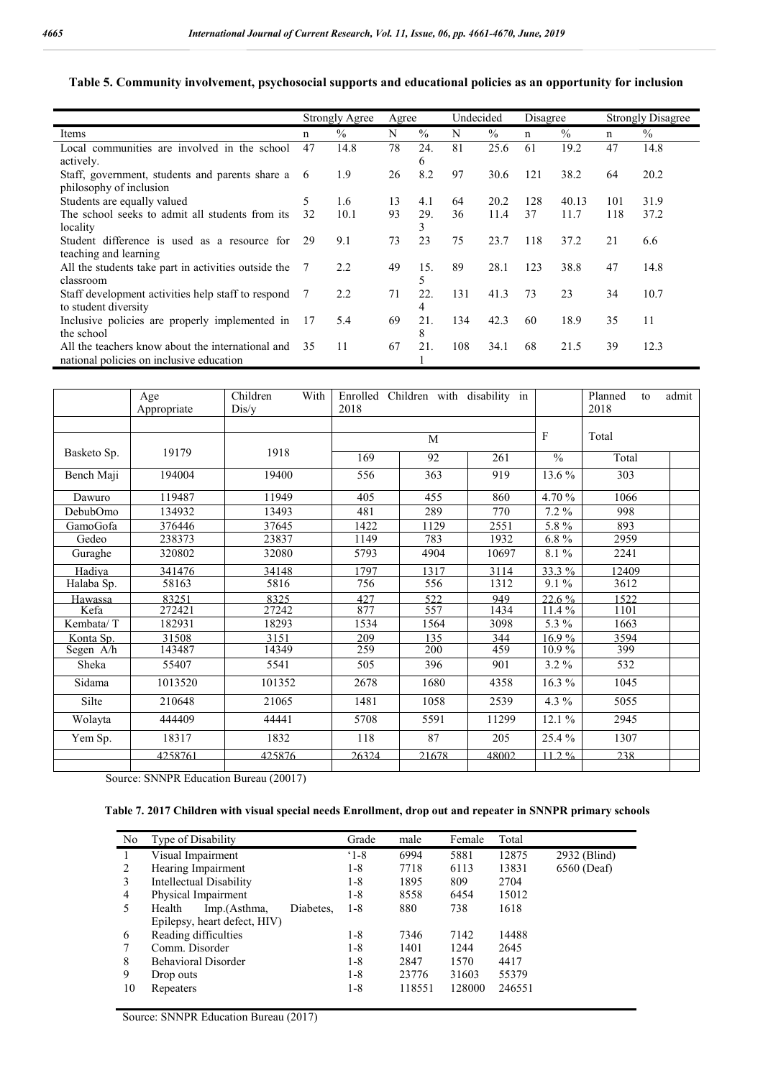## **Table 5. Community involvement, psychosocial supports and educational policies as an opportunity for inclusion**

|                                                                                               |    | Strongly Agree | Agree |               |     | Undecided     |     | Disagree |     | <b>Strongly Disagree</b> |  |
|-----------------------------------------------------------------------------------------------|----|----------------|-------|---------------|-----|---------------|-----|----------|-----|--------------------------|--|
| Items                                                                                         | n  | $\frac{0}{0}$  | N     | $\frac{0}{0}$ | N   | $\frac{0}{0}$ | n   | $\%$     | n   | $\%$                     |  |
| Local communities are involved in the school<br>actively.                                     | 47 | 14.8           | 78    | 24.<br>6      | 81  | 25.6          | 61  | 19.2     | 47  | 14.8                     |  |
| Staff, government, students and parents share a<br>philosophy of inclusion                    | -6 | 1.9            | 26    | 8.2           | 97  | 30.6          | 121 | 38.2     | 64  | 20.2                     |  |
| Students are equally valued                                                                   | 5  | 1.6            | 13    | 4.1           | 64  | 20.2          | 128 | 40.13    | 101 | 31.9                     |  |
| The school seeks to admit all students from its<br>locality                                   | 32 | 10.1           | 93    | 29.<br>3      | 36  | 11.4          | 37  | 11.7     | 118 | 37.2                     |  |
| Student difference is used as a resource for<br>teaching and learning                         | 29 | 9.1            | 73    | 23            | 75  | 23.7          | 118 | 37.2     | 21  | 6.6                      |  |
| All the students take part in activities outside the<br>classroom                             | 7  | 2.2            | 49    | 15.<br>5      | 89  | 28.1          | 123 | 38.8     | 47  | 14.8                     |  |
| Staff development activities help staff to respond<br>to student diversity                    |    | 2.2            | 71    | 22<br>4       | 131 | 41.3          | 73  | 23       | 34  | 10.7                     |  |
| Inclusive policies are properly implemented in<br>the school                                  | 17 | 5.4            | 69    | 21.<br>8      | 134 | 42.3          | 60  | 18.9     | 35  | 11                       |  |
| All the teachers know about the international and<br>national policies on inclusive education | 35 | 11             | 67    | 21.           | 108 | 34.1          | 68  | 21.5     | 39  | 12.3                     |  |

|             | Age<br>Appropriate | Children<br>With<br>Dis/y | Enrolled<br>2018 | Children with disability in |       |                          | Planned<br>to<br>2018 | admit |
|-------------|--------------------|---------------------------|------------------|-----------------------------|-------|--------------------------|-----------------------|-------|
|             |                    |                           |                  | M                           | F     | Total                    |                       |       |
| Basketo Sp. | 19179              | 1918                      | 169              | 92                          | 261   | $\frac{0}{0}$            | Total                 |       |
| Bench Maji  | 194004             | 19400                     | 556              | 363                         | 919   | 13.6 %                   | 303                   |       |
| Dawuro      | 119487             | 11949                     | 405              | 455                         | 860   | 4.70 %                   | 1066                  |       |
| DebubOmo    | 134932             | 13493                     | 481              | 289                         | 770   | $7.2\%$                  | 998                   |       |
| GamoGofa    | 376446             | 37645                     | 1422             | 1129                        | 2551  | 5.8%                     | 893                   |       |
| Gedeo       | 238373             | 23837                     | 1149             | 783                         | 1932  | $6.8\%$                  | 2959                  |       |
| Guraghe     | 320802             | 32080                     | 5793             | 4904                        | 10697 | 8.1%                     | 2241                  |       |
| Hadiya      | 341476             | 34148                     | 1797             | 1317                        | 3114  | $33.3\%$                 | 12409                 |       |
| Halaba Sp.  | 58163              | 5816                      | 756              | 556                         | 1312  | $9.1\,\sqrt[6]{\bullet}$ | 3612                  |       |
| Hawassa     | 83251              | 8325                      | 42.7             | 522                         | 949   | $\frac{22.6\%}{22.6\%}$  | 1522                  |       |
| Kefa        | 272421             | 27242                     | 877              | 557                         | 1434  | 11.4 %                   | 1101                  |       |
| Kembata/T   | 182931             | 18293                     | 1534             | 1564                        | 3098  | 5.3 %                    | 1663                  |       |
| Konta Sp.   | 31508              | 3151                      | 209              | 135                         | 344   | 16.9%                    | 3594                  |       |
| Segen A/h   | 143487             | 14349                     | 259              | 200                         | 459   | 10.9%                    | 399                   |       |
| Sheka       | 55407              | 5541                      | 505              | 396                         | 901   | $3.2\%$                  | 532                   |       |
| Sidama      | 1013520            | 101352                    | 2678             | 1680                        | 4358  | 16.3 %                   | 1045                  |       |
| Silte       | 210648             | 21065                     | 1481             | 1058                        | 2539  | 4.3 $%$                  | 5055                  |       |
| Wolayta     | 444409             | 44441                     | 5708             | 5591                        | 11299 | 12.1 %                   | 2945                  |       |
| Yem Sp.     | 18317              | 1832                      | 118              | 87                          | 205   | 25.4 %                   | 1307                  |       |
|             | 4258761            | 425876                    | 26324            | 21678                       | 48002 | $11.2\%$                 | 238                   |       |
|             |                    |                           |                  |                             |       |                          |                       |       |

Source: SNNPR Education Bureau (20017)

### **Table 7. 2017 Children with visual special needs Enrollment, drop out and repeater in SNNPR primary schools**

| No | Type of Disability                  | Grade         | male   | Female | Total  |              |
|----|-------------------------------------|---------------|--------|--------|--------|--------------|
| 1  | Visual Impairment                   | $^{\circ}1-8$ | 6994   | 5881   | 12875  | 2932 (Blind) |
| 2  | Hearing Impairment                  | $1 - 8$       | 7718   | 6113   | 13831  | 6560 (Deaf)  |
| 3  | Intellectual Disability             | $1 - 8$       | 1895   | 809    | 2704   |              |
| 4  | Physical Impairment                 | $1 - 8$       | 8558   | 6454   | 15012  |              |
| 5  | Imp.(Asthma,<br>Health<br>Diabetes. | $1 - 8$       | 880    | 738    | 1618   |              |
|    | Epilepsy, heart defect, HIV)        |               |        |        |        |              |
| 6  | Reading difficulties                | $1-8$         | 7346   | 7142   | 14488  |              |
| 7  | Comm. Disorder                      | $1 - 8$       | 1401   | 1244   | 2645   |              |
| 8  | <b>Behavioral Disorder</b>          | $1 - 8$       | 2847   | 1570   | 4417   |              |
| 9  | Drop outs                           | $1 - 8$       | 23776  | 31603  | 55379  |              |
| 10 | Repeaters                           | $1-8$         | 118551 | 128000 | 246551 |              |

Source: SNNPR Education Bureau (2017)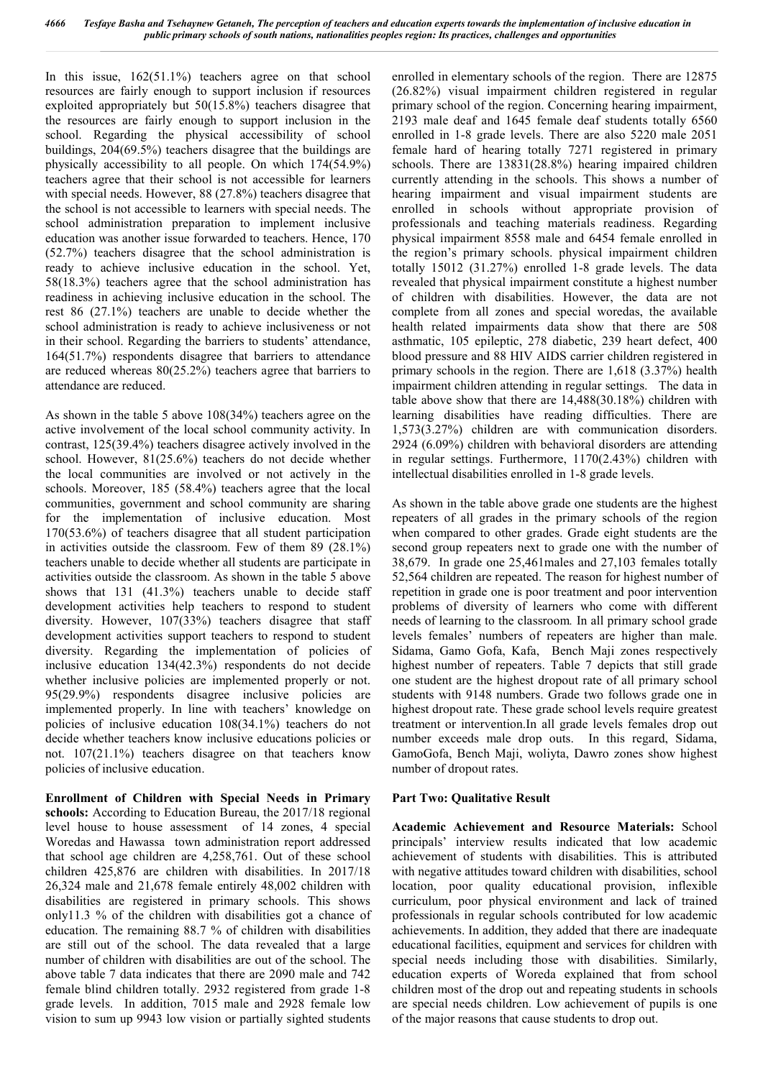In this issue, 162(51.1%) teachers agree on that school resources are fairly enough to support inclusion if resources exploited appropriately but 50(15.8%) teachers disagree that the resources are fairly enough to support inclusion in the school. Regarding the physical accessibility of school buildings, 204(69.5%) teachers disagree that the buildings are physically accessibility to all people. On which 174(54.9%) teachers agree that their school is not accessible for learners with special needs. However, 88 (27.8%) teachers disagree that the school is not accessible to learners with special needs. The school administration preparation to implement inclusive education was another issue forwarded to teachers. Hence, 170 (52.7%) teachers disagree that the school administration is ready to achieve inclusive education in the school. Yet, 58(18.3%) teachers agree that the school administration has readiness in achieving inclusive education in the school. The rest 86 (27.1%) teachers are unable to decide whether the school administration is ready to achieve inclusiveness or not in their school. Regarding the barriers to students' attendance, 164(51.7%) respondents disagree that barriers to attendance are reduced whereas 80(25.2%) teachers agree that barriers to attendance are reduced.

As shown in the table 5 above 108(34%) teachers agree on the active involvement of the local school community activity. In contrast, 125(39.4%) teachers disagree actively involved in the school. However, 81(25.6%) teachers do not decide whether the local communities are involved or not actively in the schools. Moreover, 185 (58.4%) teachers agree that the local communities, government and school community are sharing for the implementation of inclusive education. Most 170(53.6%) of teachers disagree that all student participation in activities outside the classroom. Few of them 89 (28.1%) teachers unable to decide whether all students are participate in activities outside the classroom. As shown in the table 5 above shows that 131 (41.3%) teachers unable to decide staff development activities help teachers to respond to student diversity. However, 107(33%) teachers disagree that staff development activities support teachers to respond to student diversity. Regarding the implementation of policies of inclusive education 134(42.3%) respondents do not decide whether inclusive policies are implemented properly or not. 95(29.9%) respondents disagree inclusive policies are implemented properly. In line with teachers' knowledge on policies of inclusive education 108(34.1%) teachers do not decide whether teachers know inclusive educations policies or not. 107(21.1%) teachers disagree on that teachers know policies of inclusive education.

**Enrollment of Children with Special Needs in Primary schools:** According to Education Bureau, the 2017/18 regional level house to house assessment of 14 zones, 4 special Woredas and Hawassa town administration report addressed that school age children are 4,258,761. Out of these school children 425,876 are children with disabilities. In 2017/18 26,324 male and 21,678 female entirely 48,002 children with disabilities are registered in primary schools. This shows only11.3 % of the children with disabilities got a chance of education. The remaining 88.7 % of children with disabilities are still out of the school. The data revealed that a large number of children with disabilities are out of the school. The above table 7 data indicates that there are 2090 male and 742 female blind children totally. 2932 registered from grade 1-8 grade levels. In addition, 7015 male and 2928 female low vision to sum up 9943 low vision or partially sighted students

enrolled in elementary schools of the region. There are 12875 (26.82%) visual impairment children registered in regular primary school of the region. Concerning hearing impairment, 2193 male deaf and 1645 female deaf students totally 6560 enrolled in 1-8 grade levels. There are also 5220 male 2051 female hard of hearing totally 7271 registered in primary schools. There are 13831(28.8%) hearing impaired children currently attending in the schools. This shows a number of hearing impairment and visual impairment students are enrolled in schools without appropriate provision of professionals and teaching materials readiness. Regarding physical impairment 8558 male and 6454 female enrolled in the region's primary schools. physical impairment children totally 15012 (31.27%) enrolled 1-8 grade levels. The data revealed that physical impairment constitute a highest number of children with disabilities. However, the data are not complete from all zones and special woredas, the available health related impairments data show that there are 508 asthmatic, 105 epileptic, 278 diabetic, 239 heart defect, 400 blood pressure and 88 HIV AIDS carrier children registered in primary schools in the region. There are 1,618 (3.37%) health impairment children attending in regular settings. The data in table above show that there are 14,488(30.18%) children with learning disabilities have reading difficulties. There are 1,573(3.27%) children are with communication disorders. 2924 (6.09%) children with behavioral disorders are attending in regular settings. Furthermore, 1170(2.43%) children with intellectual disabilities enrolled in 1-8 grade levels.

As shown in the table above grade one students are the highest repeaters of all grades in the primary schools of the region when compared to other grades. Grade eight students are the second group repeaters next to grade one with the number of 38,679. In grade one 25,461males and 27,103 females totally 52,564 children are repeated. The reason for highest number of repetition in grade one is poor treatment and poor intervention problems of diversity of learners who come with different needs of learning to the classroom*.* In all primary school grade levels females' numbers of repeaters are higher than male. Sidama, Gamo Gofa, Kafa, Bench Maji zones respectively highest number of repeaters. Table 7 depicts that still grade one student are the highest dropout rate of all primary school students with 9148 numbers. Grade two follows grade one in highest dropout rate. These grade school levels require greatest treatment or intervention.In all grade levels females drop out number exceeds male drop outs. In this regard, Sidama, GamoGofa, Bench Maji, woliyta, Dawro zones show highest number of dropout rates.

### **Part Two: Qualitative Result**

**Academic Achievement and Resource Materials:** School principals' interview results indicated that low academic achievement of students with disabilities. This is attributed with negative attitudes toward children with disabilities, school location, poor quality educational provision, inflexible curriculum, poor physical environment and lack of trained professionals in regular schools contributed for low academic achievements. In addition, they added that there are inadequate educational facilities, equipment and services for children with special needs including those with disabilities. Similarly, education experts of Woreda explained that from school children most of the drop out and repeating students in schools are special needs children. Low achievement of pupils is one of the major reasons that cause students to drop out.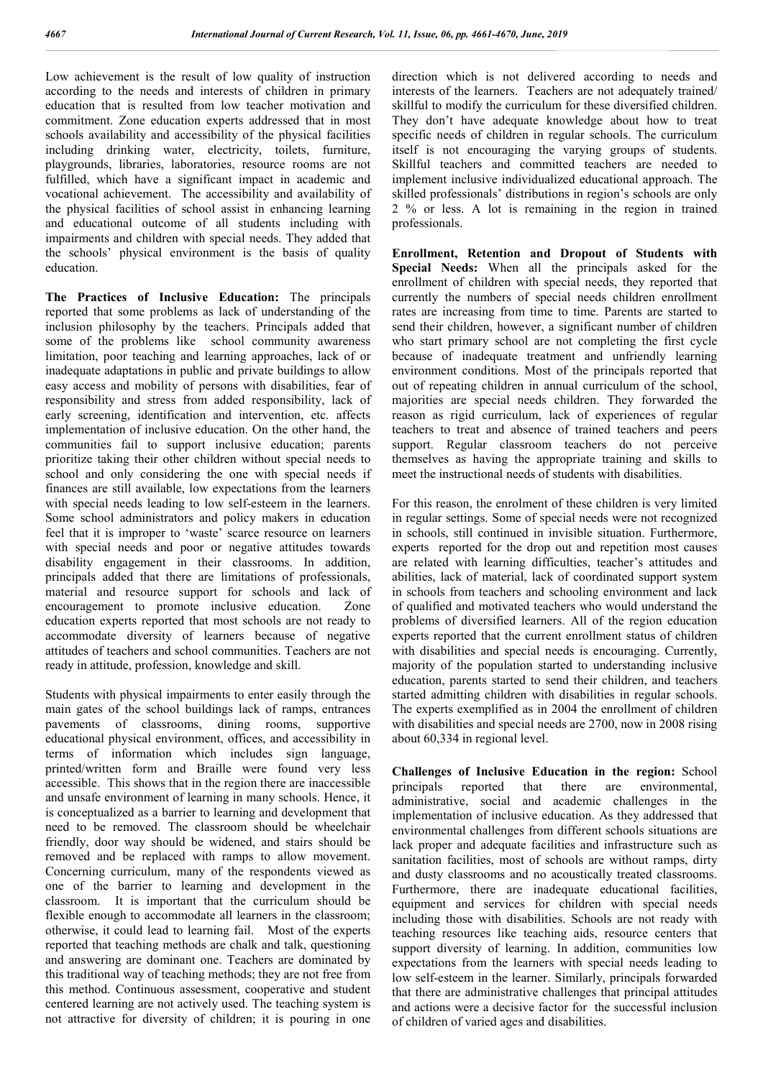Low achievement is the result of low quality of instruction according to the needs and interests of children in primary education that is resulted from low teacher motivation and commitment. Zone education experts addressed that in most schools availability and accessibility of the physical facilities including drinking water, electricity, toilets, furniture, playgrounds, libraries, laboratories, resource rooms are not fulfilled, which have a significant impact in academic and vocational achievement. The accessibility and availability of the physical facilities of school assist in enhancing learning and educational outcome of all students including with impairments and children with special needs. They added that the schools' physical environment is the basis of quality education.

**The Practices of Inclusive Education:** The principals reported that some problems as lack of understanding of the inclusion philosophy by the teachers. Principals added that some of the problems like school community awareness limitation, poor teaching and learning approaches, lack of or inadequate adaptations in public and private buildings to allow easy access and mobility of persons with disabilities, fear of responsibility and stress from added responsibility, lack of early screening, identification and intervention, etc. affects implementation of inclusive education. On the other hand, the communities fail to support inclusive education; parents prioritize taking their other children without special needs to school and only considering the one with special needs if finances are still available, low expectations from the learners with special needs leading to low self-esteem in the learners. Some school administrators and policy makers in education feel that it is improper to 'waste' scarce resource on learners with special needs and poor or negative attitudes towards disability engagement in their classrooms. In addition, principals added that there are limitations of professionals, material and resource support for schools and lack of encouragement to promote inclusive education. Zone education experts reported that most schools are not ready to accommodate diversity of learners because of negative attitudes of teachers and school communities. Teachers are not ready in attitude, profession, knowledge and skill.

Students with physical impairments to enter easily through the main gates of the school buildings lack of ramps, entrances pavements of classrooms, dining rooms, supportive educational physical environment, offices, and accessibility in terms of information which includes sign language, printed/written form and Braille were found very less accessible. This shows that in the region there are inaccessible and unsafe environment of learning in many schools. Hence, it is conceptualized as a barrier to learning and development that need to be removed. The classroom should be wheelchair friendly, door way should be widened, and stairs should be removed and be replaced with ramps to allow movement. Concerning curriculum, many of the respondents viewed as one of the barrier to learning and development in the classroom. It is important that the curriculum should be flexible enough to accommodate all learners in the classroom; otherwise, it could lead to learning fail. Most of the experts reported that teaching methods are chalk and talk, questioning and answering are dominant one. Teachers are dominated by this traditional way of teaching methods; they are not free from this method. Continuous assessment, cooperative and student centered learning are not actively used. The teaching system is not attractive for diversity of children; it is pouring in one

direction which is not delivered according to needs and interests of the learners. Teachers are not adequately trained/ skillful to modify the curriculum for these diversified children. They don't have adequate knowledge about how to treat specific needs of children in regular schools. The curriculum itself is not encouraging the varying groups of students. Skillful teachers and committed teachers are needed to implement inclusive individualized educational approach. The skilled professionals' distributions in region's schools are only 2 % or less. A lot is remaining in the region in trained professionals.

**Enrollment, Retention and Dropout of Students with Special Needs:** When all the principals asked for the enrollment of children with special needs, they reported that currently the numbers of special needs children enrollment rates are increasing from time to time. Parents are started to send their children, however, a significant number of children who start primary school are not completing the first cycle because of inadequate treatment and unfriendly learning environment conditions. Most of the principals reported that out of repeating children in annual curriculum of the school, majorities are special needs children. They forwarded the reason as rigid curriculum, lack of experiences of regular teachers to treat and absence of trained teachers and peers support. Regular classroom teachers do not perceive themselves as having the appropriate training and skills to meet the instructional needs of students with disabilities.

For this reason, the enrolment of these children is very limited in regular settings. Some of special needs were not recognized in schools, still continued in invisible situation. Furthermore, experts reported for the drop out and repetition most causes are related with learning difficulties, teacher's attitudes and abilities, lack of material, lack of coordinated support system in schools from teachers and schooling environment and lack of qualified and motivated teachers who would understand the problems of diversified learners. All of the region education experts reported that the current enrollment status of children with disabilities and special needs is encouraging. Currently, majority of the population started to understanding inclusive education, parents started to send their children, and teachers started admitting children with disabilities in regular schools. The experts exemplified as in 2004 the enrollment of children with disabilities and special needs are 2700, now in 2008 rising about 60,334 in regional level.

**Challenges of Inclusive Education in the region:** School principals reported that there are environmental, administrative, social and academic challenges in the implementation of inclusive education. As they addressed that environmental challenges from different schools situations are lack proper and adequate facilities and infrastructure such as sanitation facilities, most of schools are without ramps, dirty and dusty classrooms and no acoustically treated classrooms. Furthermore, there are inadequate educational facilities, equipment and services for children with special needs including those with disabilities. Schools are not ready with teaching resources like teaching aids, resource centers that support diversity of learning. In addition, communities low expectations from the learners with special needs leading to low self-esteem in the learner. Similarly, principals forwarded that there are administrative challenges that principal attitudes and actions were a decisive factor for the successful inclusion of children of varied ages and disabilities.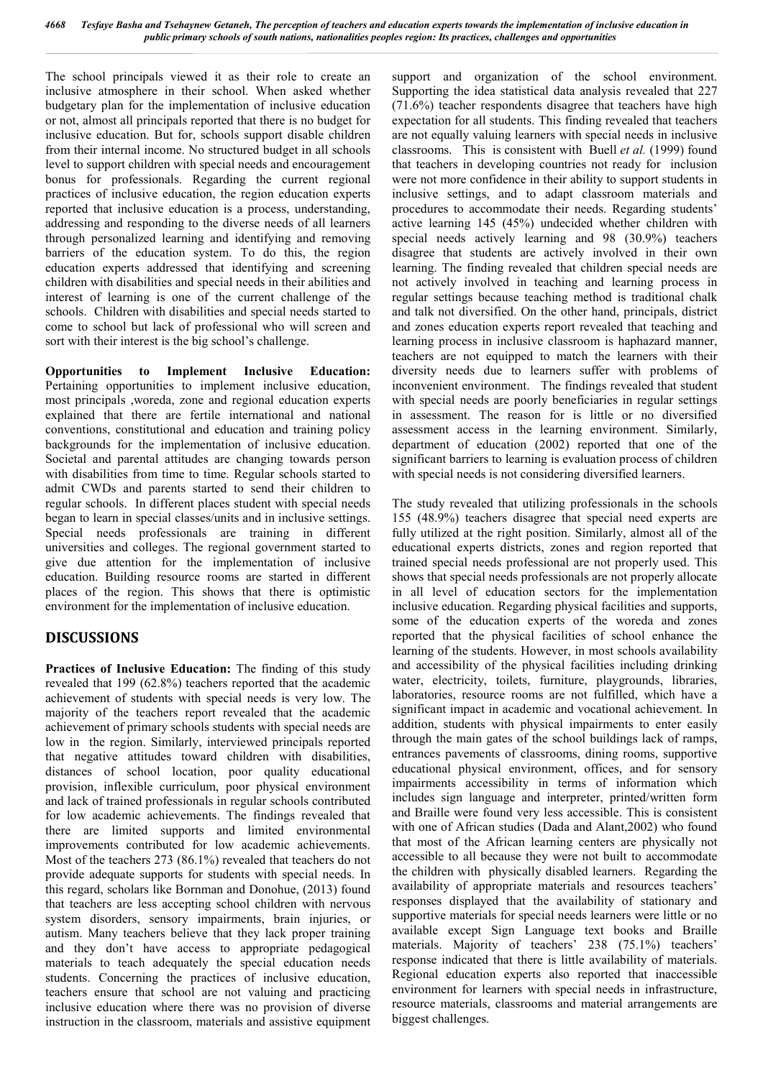The school principals viewed it as their role to create an inclusive atmosphere in their school. When asked whether budgetary plan for the implementation of inclusive education or not, almost all principals reported that there is no budget for inclusive education. But for, schools support disable children from their internal income. No structured budget in all schools level to support children with special needs and encouragement bonus for professionals. Regarding the current regional practices of inclusive education, the region education experts reported that inclusive education is a process, understanding, addressing and responding to the diverse needs of all learners through personalized learning and identifying and removing barriers of the education system. To do this, the region education experts addressed that identifying and screening children with disabilities and special needs in their abilities and interest of learning is one of the current challenge of the schools. Children with disabilities and special needs started to come to school but lack of professional who will screen and sort with their interest is the big school's challenge.

**Opportunities to Implement Inclusive Education:**  Pertaining opportunities to implement inclusive education, most principals ,woreda, zone and regional education experts explained that there are fertile international and national conventions, constitutional and education and training policy backgrounds for the implementation of inclusive education. Societal and parental attitudes are changing towards person with disabilities from time to time. Regular schools started to admit CWDs and parents started to send their children to regular schools. In different places student with special needs began to learn in special classes/units and in inclusive settings. Special needs professionals are training in different universities and colleges. The regional government started to give due attention for the implementation of inclusive education. Building resource rooms are started in different places of the region. This shows that there is optimistic environment for the implementation of inclusive education.

# **DISCUSSIONS**

**Practices of Inclusive Education:** The finding of this study revealed that 199 (62.8%) teachers reported that the academic achievement of students with special needs is very low. The majority of the teachers report revealed that the academic achievement of primary schools students with special needs are low in the region. Similarly, interviewed principals reported that negative attitudes toward children with disabilities, distances of school location, poor quality educational provision, inflexible curriculum, poor physical environment and lack of trained professionals in regular schools contributed for low academic achievements. The findings revealed that there are limited supports and limited environmental improvements contributed for low academic achievements. Most of the teachers 273 (86.1%) revealed that teachers do not provide adequate supports for students with special needs. In this regard, scholars like Bornman and Donohue, (2013) found that teachers are less accepting school children with nervous system disorders, sensory impairments, brain injuries, or autism. Many teachers believe that they lack proper training and they don't have access to appropriate pedagogical materials to teach adequately the special education needs students. Concerning the practices of inclusive education, teachers ensure that school are not valuing and practicing inclusive education where there was no provision of diverse instruction in the classroom, materials and assistive equipment

support and organization of the school environment. Supporting the idea statistical data analysis revealed that 227 (71.6%) teacher respondents disagree that teachers have high expectation for all students. This finding revealed that teachers are not equally valuing learners with special needs in inclusive classrooms. This is consistent with Buell *et al.* (1999) found that teachers in developing countries not ready for inclusion were not more confidence in their ability to support students in inclusive settings, and to adapt classroom materials and procedures to accommodate their needs. Regarding students' active learning 145 (45%) undecided whether children with special needs actively learning and 98 (30.9%) teachers disagree that students are actively involved in their own learning. The finding revealed that children special needs are not actively involved in teaching and learning process in regular settings because teaching method is traditional chalk and talk not diversified. On the other hand, principals, district and zones education experts report revealed that teaching and learning process in inclusive classroom is haphazard manner, teachers are not equipped to match the learners with their diversity needs due to learners suffer with problems of inconvenient environment. The findings revealed that student with special needs are poorly beneficiaries in regular settings in assessment. The reason for is little or no diversified assessment access in the learning environment. Similarly, department of education (2002) reported that one of the significant barriers to learning is evaluation process of children with special needs is not considering diversified learners.

The study revealed that utilizing professionals in the schools 155 (48.9%) teachers disagree that special need experts are fully utilized at the right position. Similarly, almost all of the educational experts districts, zones and region reported that trained special needs professional are not properly used. This shows that special needs professionals are not properly allocate in all level of education sectors for the implementation inclusive education. Regarding physical facilities and supports, some of the education experts of the woreda and zones reported that the physical facilities of school enhance the learning of the students. However, in most schools availability and accessibility of the physical facilities including drinking water, electricity, toilets, furniture, playgrounds, libraries, laboratories, resource rooms are not fulfilled, which have a significant impact in academic and vocational achievement. In addition, students with physical impairments to enter easily through the main gates of the school buildings lack of ramps, entrances pavements of classrooms, dining rooms, supportive educational physical environment, offices, and for sensory impairments accessibility in terms of information which includes sign language and interpreter, printed/written form and Braille were found very less accessible. This is consistent with one of African studies (Dada and Alant,2002) who found that most of the African learning centers are physically not accessible to all because they were not built to accommodate the children with physically disabled learners. Regarding the availability of appropriate materials and resources teachers' responses displayed that the availability of stationary and supportive materials for special needs learners were little or no available except Sign Language text books and Braille materials. Majority of teachers' 238 (75.1%) teachers' response indicated that there is little availability of materials. Regional education experts also reported that inaccessible environment for learners with special needs in infrastructure, resource materials, classrooms and material arrangements are biggest challenges.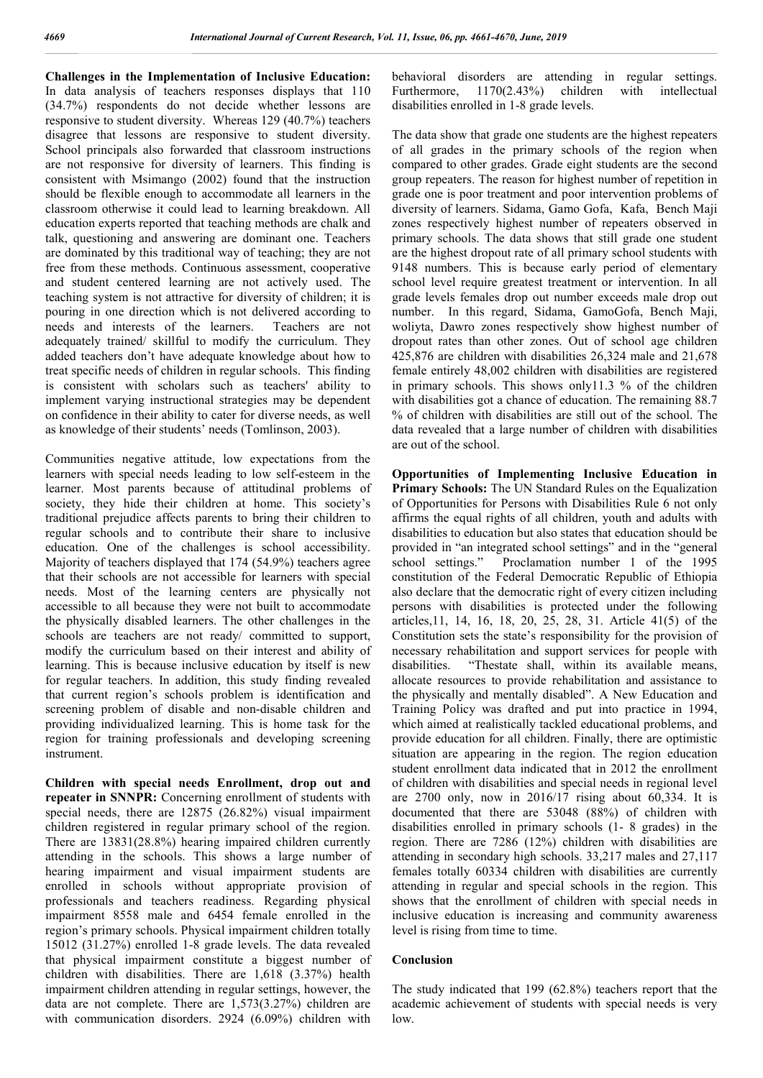**Challenges in the Implementation of Inclusive Education:**  In data analysis of teachers responses displays that 110 (34.7%) respondents do not decide whether lessons are responsive to student diversity. Whereas 129 (40.7%) teachers disagree that lessons are responsive to student diversity. School principals also forwarded that classroom instructions are not responsive for diversity of learners. This finding is consistent with Msimango (2002) found that the instruction should be flexible enough to accommodate all learners in the classroom otherwise it could lead to learning breakdown. All education experts reported that teaching methods are chalk and talk, questioning and answering are dominant one. Teachers are dominated by this traditional way of teaching; they are not free from these methods. Continuous assessment, cooperative and student centered learning are not actively used. The teaching system is not attractive for diversity of children; it is pouring in one direction which is not delivered according to needs and interests of the learners. Teachers are not adequately trained/ skillful to modify the curriculum. They added teachers don't have adequate knowledge about how to treat specific needs of children in regular schools. This finding is consistent with scholars such as teachers' ability to implement varying instructional strategies may be dependent on confidence in their ability to cater for diverse needs, as well as knowledge of their students' needs (Tomlinson, 2003).

Communities negative attitude, low expectations from the learners with special needs leading to low self-esteem in the learner. Most parents because of attitudinal problems of society, they hide their children at home. This society's traditional prejudice affects parents to bring their children to regular schools and to contribute their share to inclusive education. One of the challenges is school accessibility. Majority of teachers displayed that 174 (54.9%) teachers agree that their schools are not accessible for learners with special needs. Most of the learning centers are physically not accessible to all because they were not built to accommodate the physically disabled learners. The other challenges in the schools are teachers are not ready/ committed to support, modify the curriculum based on their interest and ability of learning. This is because inclusive education by itself is new for regular teachers. In addition, this study finding revealed that current region's schools problem is identification and screening problem of disable and non-disable children and providing individualized learning. This is home task for the region for training professionals and developing screening instrument.

**Children with special needs Enrollment, drop out and repeater in SNNPR:** Concerning enrollment of students with special needs, there are 12875 (26.82%) visual impairment children registered in regular primary school of the region. There are 13831(28.8%) hearing impaired children currently attending in the schools. This shows a large number of hearing impairment and visual impairment students are enrolled in schools without appropriate provision of professionals and teachers readiness. Regarding physical impairment 8558 male and 6454 female enrolled in the region's primary schools. Physical impairment children totally 15012 (31.27%) enrolled 1-8 grade levels. The data revealed that physical impairment constitute a biggest number of children with disabilities. There are 1,618 (3.37%) health impairment children attending in regular settings, however, the data are not complete. There are 1,573(3.27%) children are with communication disorders. 2924 (6.09%) children with

behavioral disorders are attending in regular settings. Furthermore, 1170(2.43%) children with intellectual disabilities enrolled in 1-8 grade levels.

The data show that grade one students are the highest repeaters of all grades in the primary schools of the region when compared to other grades. Grade eight students are the second group repeaters. The reason for highest number of repetition in grade one is poor treatment and poor intervention problems of diversity of learners. Sidama, Gamo Gofa, Kafa, Bench Maji zones respectively highest number of repeaters observed in primary schools. The data shows that still grade one student are the highest dropout rate of all primary school students with 9148 numbers. This is because early period of elementary school level require greatest treatment or intervention. In all grade levels females drop out number exceeds male drop out number. In this regard, Sidama, GamoGofa, Bench Maji, woliyta, Dawro zones respectively show highest number of dropout rates than other zones. Out of school age children 425,876 are children with disabilities 26,324 male and 21,678 female entirely 48,002 children with disabilities are registered in primary schools. This shows only11.3 % of the children with disabilities got a chance of education. The remaining 88.7 % of children with disabilities are still out of the school. The data revealed that a large number of children with disabilities are out of the school.

**Opportunities of Implementing Inclusive Education in Primary Schools:** The UN Standard Rules on the Equalization of Opportunities for Persons with Disabilities Rule 6 not only affirms the equal rights of all children, youth and adults with disabilities to education but also states that education should be provided in "an integrated school settings" and in the "general school settings." Proclamation number 1 of the 1995 constitution of the Federal Democratic Republic of Ethiopia also declare that the democratic right of every citizen including persons with disabilities is protected under the following articles,11, 14, 16, 18, 20, 25, 28, 31. Article 41(5) of the Constitution sets the state's responsibility for the provision of necessary rehabilitation and support services for people with disabilities. "Thestate shall, within its available means, allocate resources to provide rehabilitation and assistance to the physically and mentally disabled". A New Education and Training Policy was drafted and put into practice in 1994, which aimed at realistically tackled educational problems, and provide education for all children. Finally, there are optimistic situation are appearing in the region. The region education student enrollment data indicated that in 2012 the enrollment of children with disabilities and special needs in regional level are 2700 only, now in 2016/17 rising about 60,334. It is documented that there are 53048 (88%) of children with disabilities enrolled in primary schools (1- 8 grades) in the region. There are 7286 (12%) children with disabilities are attending in secondary high schools. 33,217 males and 27,117 females totally 60334 children with disabilities are currently attending in regular and special schools in the region. This shows that the enrollment of children with special needs in inclusive education is increasing and community awareness level is rising from time to time.

### **Conclusion**

The study indicated that 199 (62.8%) teachers report that the academic achievement of students with special needs is very low.